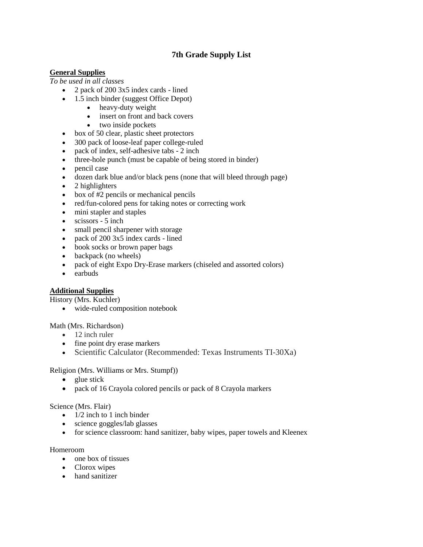# **7th Grade Supply List**

## **General Supplies**

*To be used in all classes*

- 2 pack of 200 3x5 index cards lined
- 1.5 inch binder (suggest Office Depot)
	- heavy-duty weight
	- insert on front and back covers
	- two inside pockets
- box of 50 clear, plastic sheet protectors
- 300 pack of loose-leaf paper college-ruled
- pack of index, self-adhesive tabs 2 inch
- three-hole punch (must be capable of being stored in binder)
- pencil case
- dozen dark blue and/or black pens (none that will bleed through page)
- $\bullet$  2 highlighters
- box of #2 pencils or mechanical pencils
- red/fun-colored pens for taking notes or correcting work
- mini stapler and staples
- $\bullet$  scissors 5 inch
- small pencil sharpener with storage
- pack of 200 3x5 index cards lined
- book socks or brown paper bags
- backpack (no wheels)
- pack of eight Expo Dry-Erase markers (chiseled and assorted colors)
- earbuds

## **Additional Supplies**

History (Mrs. Kuchler)

wide-ruled composition notebook

Math (Mrs. Richardson)

- 12 inch ruler
- fine point dry erase markers
- Scientific Calculator (Recommended: Texas Instruments TI-30Xa)

Religion (Mrs. Williams or Mrs. Stumpf))

- $\bullet$  glue stick
- pack of 16 Crayola colored pencils or pack of 8 Crayola markers

### Science (Mrs. Flair)

- $\bullet$  1/2 inch to 1 inch binder
- science goggles/lab glasses
- for science classroom: hand sanitizer, baby wipes, paper towels and Kleenex

### Homeroom

- one box of tissues
- Clorox wipes
- hand sanitizer